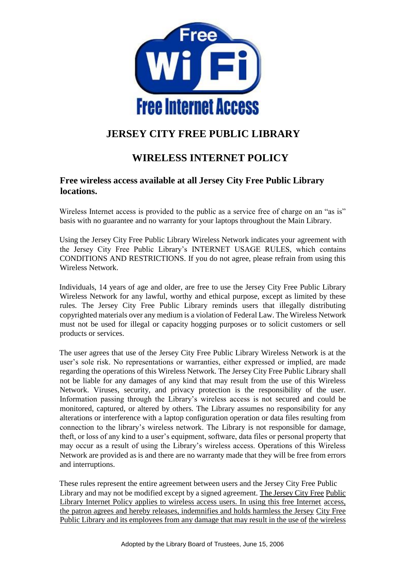

# **JERSEY CITY FREE PUBLIC LIBRARY**

# **WIRELESS INTERNET POLICY**

# **Free wireless access available at all Jersey City Free Public Library locations.**

Wireless Internet access is provided to the public as a service free of charge on an "as is" basis with no guarantee and no warranty for your laptops throughout the Main Library.

Using the Jersey City Free Public Library Wireless Network indicates your agreement with the Jersey City Free Public Library's INTERNET USAGE RULES, which contains CONDITIONS AND RESTRICTIONS. If you do not agree, please refrain from using this Wireless Network.

Individuals, 14 years of age and older, are free to use the Jersey City Free Public Library Wireless Network for any lawful, worthy and ethical purpose, except as limited by these rules. The Jersey City Free Public Library reminds users that illegally distributing copyrighted materials over any medium is a violation of Federal Law. The Wireless Network must not be used for illegal or capacity hogging purposes or to solicit customers or sell products or services.

The user agrees that use of the Jersey City Free Public Library Wireless Network is at the user's sole risk. No representations or warranties, either expressed or implied, are made regarding the operations of this Wireless Network. The Jersey City Free Public Library shall not be liable for any damages of any kind that may result from the use of this Wireless Network. Viruses, security, and privacy protection is the responsibility of the user. Information passing through the Library's wireless access is not secured and could be monitored, captured, or altered by others. The Library assumes no responsibility for any alterations or interference with a laptop configuration operation or data files resulting from connection to the library's wireless network. The Library is not responsible for damage, theft, or loss of any kind to a user's equipment, software, data files or personal property that may occur as a result of using the Library's wireless access. Operations of this Wireless Network are provided as is and there are no warranty made that they will be free from errors and interruptions.

These rules represent the entire agreement between users and the Jersey City Free Public Library and may not be modified except by a signed agreement. The Jersey City Free Public Library Internet Policy applies to wireless access users. In using this free Internet access, the patron agrees and hereby releases, indemnifies and holds harmless the Jersey City Free Public Library and its employees from any damage that may result in the use of the wireless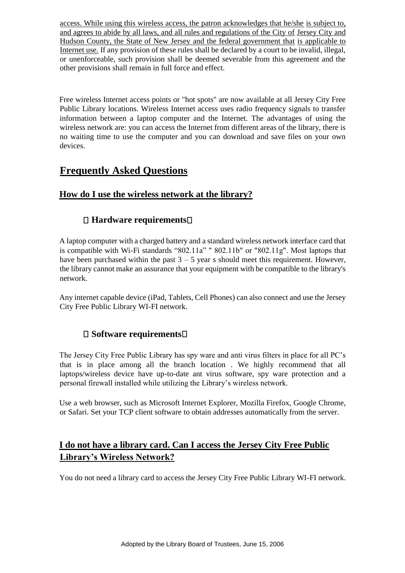access. While using this wireless access, the patron acknowledges that he/she is subject to, and agrees to abide by all laws, and all rules and regulations of the City of Jersey City and Hudson County, the State of New Jersey and the federal government that is applicable to Internet use. If any provision of these rules shall be declared by a court to be invalid, illegal, or unenforceable, such provision shall be deemed severable from this agreement and the other provisions shall remain in full force and effect.

Free wireless Internet access points or "hot spots" are now available at all Jersey City Free Public Library locations. Wireless Internet access uses radio frequency signals to transfer information between a laptop computer and the Internet. The advantages of using the wireless network are: you can access the Internet from different areas of the library, there is no waiting time to use the computer and you can download and save files on your own devices.

# **Frequently Asked Questions**

# **How do I use the wireless network at the library?**

# **Hardware requirements**

A laptop computer with a charged battery and a standard wireless network interface card that is compatible with Wi-Fi standards "802.11a" " 802.11b" or "802.11g". Most laptops that have been purchased within the past  $3 - 5$  year s should meet this requirement. However, the library cannot make an assurance that your equipment with be compatible to the library's network.

Any internet capable device (iPad, Tablets, Cell Phones) can also connect and use the Jersey City Free Public Library WI-FI network.

#### **Software requirements**

The Jersey City Free Public Library has spy ware and anti virus filters in place for all PC's that is in place among all the branch location . We highly recommend that all laptops/wireless device have up-to-date ant virus software, spy ware protection and a personal firewall installed while utilizing the Library's wireless network.

Use a web browser, such as Microsoft Internet Explorer, Mozilla Firefox, Google Chrome, or Safari. Set your TCP client software to obtain addresses automatically from the server.

# **I do not have a library card. Can I access the Jersey City Free Public Library's Wireless Network?**

You do not need a library card to access the Jersey City Free Public Library WI-FI network.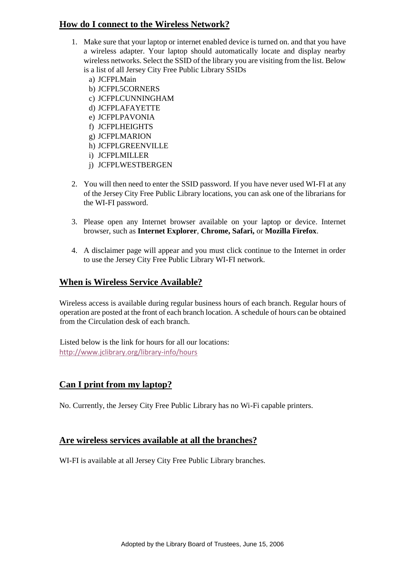# **How do I connect to the Wireless Network?**

- 1. Make sure that your laptop or internet enabled device is turned on. and that you have a wireless adapter. Your laptop should automatically locate and display nearby wireless networks. Select the SSID of the library you are visiting from the list. Below is a list of all Jersey City Free Public Library SSIDs
	- a) JCFPLMain
	- b) JCFPL5CORNERS
	- c) JCFPLCUNNINGHAM
	- d) JCFPLAFAYETTE
	- e) JCFPLPAVONIA
	- f) JCFPLHEIGHTS
	- g) JCFPLMARION
	- h) JCFPLGREENVILLE
	- i) JCFPLMILLER
	- j) JCFPLWESTBERGEN
- 2. You will then need to enter the SSID password. If you have never used WI-FI at any of the Jersey City Free Public Library locations, you can ask one of the librarians for the WI-FI password.
- 3. Please open any Internet browser available on your laptop or device. Internet browser, such as **Internet Explorer**, **Chrome, Safari,** or **Mozilla Firefox**.
- 4. A disclaimer page will appear and you must click continue to the Internet in order to use the Jersey City Free Public Library WI-FI network.

#### **When is Wireless Service Available?**

Wireless access is available during regular business hours of each branch. Regular hours of operation are posted at the front of each branch location. A schedule of hours can be obtained from the Circulation desk of each branch.

Listed below is the link for hours for all our locations: <http://www.jclibrary.org/library-info/hours>

#### **Can I print from my laptop?**

No. Currently, the Jersey City Free Public Library has no Wi-Fi capable printers.

#### **Are wireless services available at all the branches?**

WI-FI is available at all Jersey City Free Public Library branches.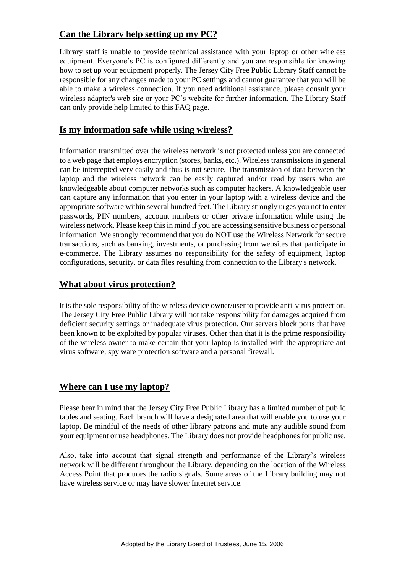# **Can the Library help setting up my PC?**

Library staff is unable to provide technical assistance with your laptop or other wireless equipment. Everyone's PC is configured differently and you are responsible for knowing how to set up your equipment properly. The Jersey City Free Public Library Staff cannot be responsible for any changes made to your PC settings and cannot guarantee that you will be able to make a wireless connection. If you need additional assistance, please consult your wireless adapter's web site or your PC's website for further information. The Library Staff can only provide help limited to this FAQ page.

#### **Is my information safe while using wireless?**

Information transmitted over the wireless network is not protected unless you are connected to a web page that employs encryption (stores, banks, etc.). Wireless transmissions in general can be intercepted very easily and thus is not secure. The transmission of data between the laptop and the wireless network can be easily captured and/or read by users who are knowledgeable about computer networks such as computer hackers. A knowledgeable user can capture any information that you enter in your laptop with a wireless device and the appropriate software within several hundred feet. The Library strongly urges you not to enter passwords, PIN numbers, account numbers or other private information while using the wireless network. Please keep this in mind if you are accessing sensitive business or personal information We strongly recommend that you do NOT use the Wireless Network for secure transactions, such as banking, investments, or purchasing from websites that participate in e-commerce. The Library assumes no responsibility for the safety of equipment, laptop configurations, security, or data files resulting from connection to the Library's network.

### **What about virus protection?**

It is the sole responsibility of the wireless device owner/user to provide anti-virus protection. The Jersey City Free Public Library will not take responsibility for damages acquired from deficient security settings or inadequate virus protection. Our servers block ports that have been known to be exploited by popular viruses. Other than that it is the prime responsibility of the wireless owner to make certain that your laptop is installed with the appropriate ant virus software, spy ware protection software and a personal firewall.

#### **Where can I use my laptop?**

Please bear in mind that the Jersey City Free Public Library has a limited number of public tables and seating. Each branch will have a designated area that will enable you to use your laptop. Be mindful of the needs of other library patrons and mute any audible sound from your equipment or use headphones. The Library does not provide headphones for public use.

Also, take into account that signal strength and performance of the Library's wireless network will be different throughout the Library, depending on the location of the Wireless Access Point that produces the radio signals. Some areas of the Library building may not have wireless service or may have slower Internet service.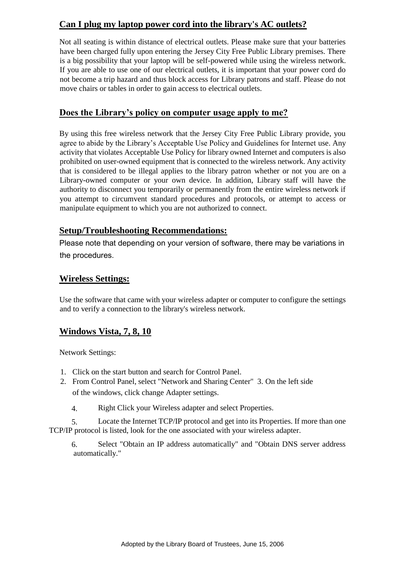# **Can I plug my laptop power cord into the library's AC outlets?**

Not all seating is within distance of electrical outlets. Please make sure that your batteries have been charged fully upon entering the Jersey City Free Public Library premises. There is a big possibility that your laptop will be self-powered while using the wireless network. If you are able to use one of our electrical outlets, it is important that your power cord do not become a trip hazard and thus block access for Library patrons and staff. Please do not move chairs or tables in order to gain access to electrical outlets.

#### **Does the Library's policy on computer usage apply to me?**

By using this free wireless network that the Jersey City Free Public Library provide, you agree to abide by the Library's Acceptable Use Policy and Guidelines for Internet use. Any activity that violates Acceptable Use Policy for library owned Internet and computers is also prohibited on user-owned equipment that is connected to the wireless network. Any activity that is considered to be illegal applies to the library patron whether or not you are on a Library-owned computer or your own device. In addition, Library staff will have the authority to disconnect you temporarily or permanently from the entire wireless network if you attempt to circumvent standard procedures and protocols, or attempt to access or manipulate equipment to which you are not authorized to connect.

# **Setup/Troubleshooting Recommendations:**

Please note that depending on your version of software, there may be variations in the procedures.

# **Wireless Settings:**

Use the software that came with your wireless adapter or computer to configure the settings and to verify a connection to the library's wireless network.

# **Windows Vista, 7, 8, 10**

Network Settings:

- 1. Click on the start button and search for Control Panel.
- 2. From Control Panel, select "Network and Sharing Center" 3. On the left side of the windows, click change Adapter settings.
	- 4. Right Click your Wireless adapter and select Properties.

5. Locate the Internet TCP/IP protocol and get into its Properties. If more than one TCP/IP protocol is listed, look for the one associated with your wireless adapter.

6. Select "Obtain an IP address automatically" and "Obtain DNS server address automatically."